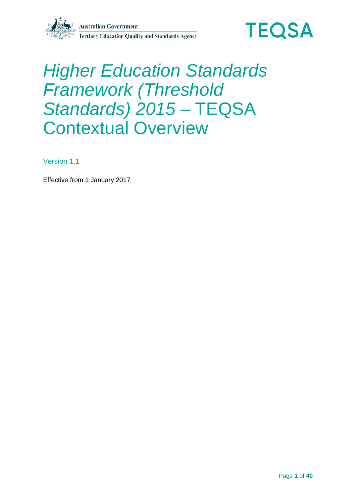

# *Higher Education Standards Framework (Threshold Standards) 2015* – TEQSA Contextual Overview

Version 1.1

Effective from 1 January 2017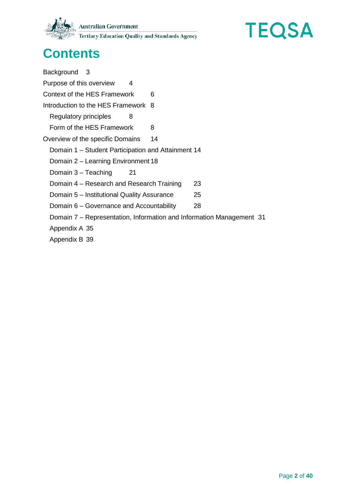



# **Contents**

[Background](#page-2-0) 3 [Purpose of this overview](#page-3-0) 4 [Context of the HES Framework](#page-5-0) 6 [Introduction to the HES Framework](#page-7-0) 8 [Regulatory principles](#page-7-1) 8 [Form of the HES Framework](#page-7-2) 8 [Overview of the specific Domains](#page-13-0) 14 Domain 1 – [Student Participation and Attainment](#page-13-1) 14 Domain 2 – [Learning Environment](#page-17-0) 18 [Domain 3 –](#page-20-0) Teaching 21 Domain 4 – [Research and Research Training](#page-22-0) 23 Domain 5 – [Institutional Quality Assurance](#page-24-0) 25 Domain 6 – [Governance and Accountability](#page-27-0) 28 Domain 7 – [Representation, Information and Information Management](#page-30-0) 31

[Appendix A](#page-34-0) 35

[Appendix B](#page-38-0) 39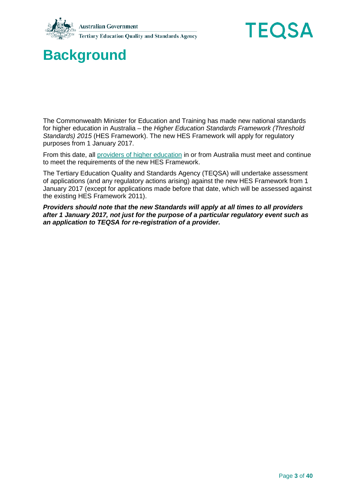



# <span id="page-2-0"></span>**Background**

The Commonwealth Minister for Education and Training has made new national standards for higher education in Australia – the *Higher Education Standards Framework (Threshold Standards) 2015* (HES Framework). The new HES Framework will apply for regulatory purposes from 1 January 2017.

From this date, all [providers of higher education](#page-35-0) in or from Australia must meet and continue to meet the requirements of the new HES Framework.

The Tertiary Education Quality and Standards Agency (TEQSA) will undertake assessment of applications (and any regulatory actions arising) against the new HES Framework from 1 January 2017 (except for applications made before that date, which will be assessed against the existing HES Framework 2011).

*Providers should note that the new Standards will apply at all times to all providers after 1 January 2017, not just for the purpose of a particular regulatory event such as an application to TEQSA for re-registration of a provider.*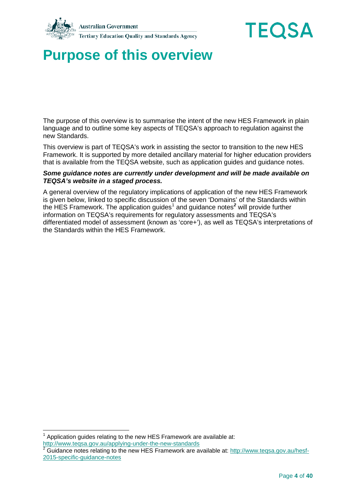



# <span id="page-3-0"></span>**Purpose of this overview**

The purpose of this overview is to summarise the intent of the new HES Framework in plain language and to outline some key aspects of TEQSA's approach to regulation against the new Standards.

This overview is part of TEQSA's work in assisting the sector to transition to the new HES Framework. It is supported by more detailed ancillary material for higher education providers that is available from the TEQSA website, such as application guides and guidance notes.

#### *Some guidance notes are currently under development and will be made available on TEQSA's website in a staged process.*

A general overview of the regulatory implications of application of the new HES Framework is given below, linked to specific discussion of the seven 'Domains' of the Standards within the HES Framework. The application guides<sup>[1](#page-3-1)</sup> and guidance notes<sup>[2](#page-3-2)</sup> will provide further information on TEQSA's requirements for regulatory assessments and TEQSA's differentiated model of assessment (known as 'core+'), as well as TEQSA's interpretations of the Standards within the HES Framework.

<span id="page-3-1"></span>Application guides relating to the new HES Framework are available at: <http://www.teqsa.gov.au/applying-under-the-new-standards>

<span id="page-3-2"></span>Guidance notes relating to the new HES Framework are available at: [http://www.teqsa.gov.au/hesf-](http://www.teqsa.gov.au/hesf-2015-specific-guidance-notes)[2015-specific-guidance-notes](http://www.teqsa.gov.au/hesf-2015-specific-guidance-notes)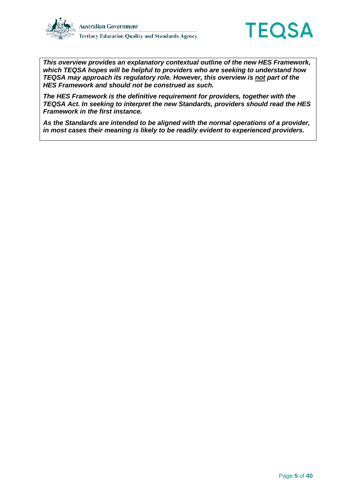



*This overview provides an explanatory contextual outline of the new HES Framework, which TEQSA hopes will be helpful to providers who are seeking to understand how TEQSA may approach its regulatory role. However, this overview is not part of the HES Framework and should not be construed as such.* 

*The HES Framework is the definitive requirement for providers, together with the TEQSA Act. In seeking to interpret the new Standards, providers should read the HES Framework in the first instance.*

*As the Standards are intended to be aligned with the normal operations of a provider, in most cases their meaning is likely to be readily evident to experienced providers.*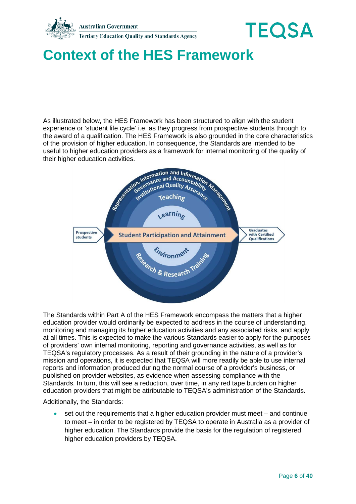

# <span id="page-5-0"></span>**Context of the HES Framework**

As illustrated below, the HES Framework has been structured to align with the student experience or 'student life cycle' i.e. as they progress from prospective students through to the award of a qualification. The HES Framework is also grounded in the core characteristics of the provision of higher education. In consequence, the Standards are intended to be useful to higher education providers as a framework for internal monitoring of the quality of



The Standards within Part A of the HES Framework encompass the matters that a higher education provider would ordinarily be expected to address in the course of understanding, monitoring and managing its higher education activities and any associated risks, and apply at all times. This is expected to make the various Standards easier to apply for the purposes of providers' own internal monitoring, reporting and governance activities, as well as for TEQSA's regulatory processes. As a result of their grounding in the nature of a provider's mission and operations, it is expected that TEQSA will more readily be able to use internal reports and information produced during the normal course of a provider's business, or published on provider websites, as evidence when assessing compliance with the Standards. In turn, this will see a reduction, over time, in any red tape burden on higher education providers that might be attributable to TEQSA's administration of the Standards.

Additionally, the Standards:

• set out the requirements that a higher education provider must meet – and continue to meet – in order to be registered by TEQSA to operate in Australia as a provider of higher education. The Standards provide the basis for the regulation of registered higher education providers by TEQSA.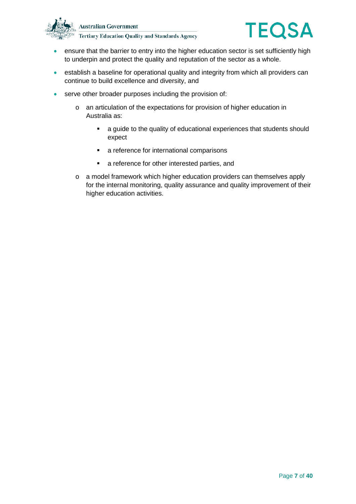



- ensure that the barrier to entry into the higher education sector is set sufficiently high to underpin and protect the quality and reputation of the sector as a whole.
- establish a baseline for operational quality and integrity from which all providers can continue to build excellence and diversity, and
- serve other broader purposes including the provision of:
	- o an articulation of the expectations for provision of higher education in Australia as:
		- a guide to the quality of educational experiences that students should expect
		- **a** reference for international comparisons
		- **a** reference for other interested parties, and
	- o a model framework which higher education providers can themselves apply for the internal monitoring, quality assurance and quality improvement of their higher education activities.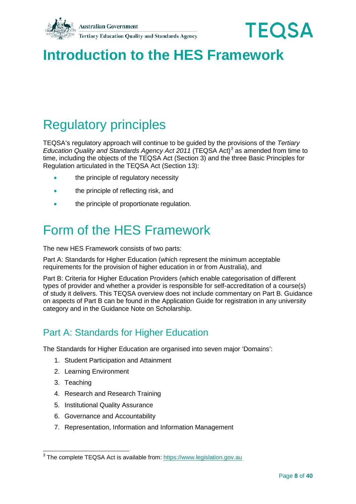



# <span id="page-7-0"></span>**Introduction to the HES Framework**

# <span id="page-7-1"></span>Regulatory principles

TEQSA's regulatory approach will continue to be guided by the provisions of the *Tertiary Education Quality and Standards Agency Act 2011* (TEQSA Act)<sup>[3](#page-7-3)</sup> as amended from time to time, including the objects of the TEQSA Act (Section 3) and the three Basic Principles for Regulation articulated in the TEQSA Act (Section 13):

- the principle of regulatory necessity
- the principle of reflecting risk, and
- the principle of proportionate regulation.

# <span id="page-7-2"></span>Form of the HES Framework

The new HES Framework consists of two parts:

Part A: Standards for Higher Education (which represent the minimum acceptable requirements for the provision of higher education in or from Australia), and

Part B: Criteria for Higher Education Providers (which enable categorisation of different types of provider and whether a provider is responsible for self-accreditation of a course(s) of study it delivers. This TEQSA overview does not include commentary on Part B. Guidance on aspects of Part B can be found in the Application Guide for registration in any university category and in the Guidance Note on Scholarship.

## Part A: Standards for Higher Education

The Standards for Higher Education are organised into seven major 'Domains':

- 1. Student Participation and Attainment
- 2. Learning Environment
- 3. Teaching
- 4. Research and Research Training
- 5. Institutional Quality Assurance
- 6. Governance and Accountability
- 7. Representation, Information and Information Management

<span id="page-7-3"></span><sup>&</sup>lt;sup>3</sup> The complete TEQSA Act is available from: [https://www.legislation.gov.au](https://www.legislation.gov.au/Details/C2015C00622)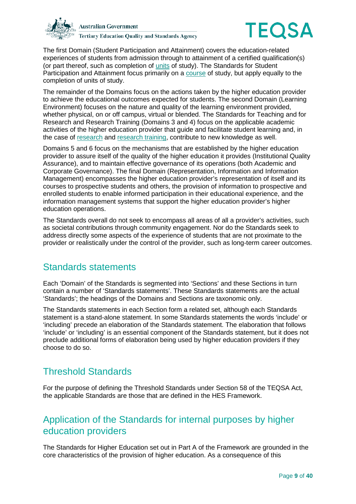



The first Domain (Student Participation and Attainment) covers the education-related experiences of students from admission through to attainment of a certified qualification(s) (or part thereof, such as completion of [units](#page-37-0) of study). The Standards for Student Participation and Attainment focus primarily on a [course](#page-34-1) of study, but apply equally to the completion of units of study.

The remainder of the Domains focus on the actions taken by the higher education provider to achieve the educational outcomes expected for students. The second Domain (Learning Environment) focuses on the nature and quality of the learning environment provided, whether physical, on or off campus, virtual or blended. The Standards for Teaching and for Research and Research Training (Domains 3 and 4) focus on the applicable academic activities of the higher education provider that guide and facilitate student learning and, in the case of [research](#page-37-1) and [research training,](#page-37-2) contribute to new knowledge as well.

Domains 5 and 6 focus on the mechanisms that are established by the higher education provider to assure itself of the quality of the higher education it provides (Institutional Quality Assurance), and to maintain effective governance of its operations (both Academic and Corporate Governance). The final Domain (Representation, Information and Information Management) encompasses the higher education provider's representation of itself and its courses to prospective students and others, the provision of information to prospective and enrolled students to enable informed participation in their educational experience, and the information management systems that support the higher education provider's higher education operations.

The Standards overall do not seek to encompass all areas of all a provider's activities, such as societal contributions through community engagement. Nor do the Standards seek to address directly some aspects of the experience of students that are not proximate to the provider or realistically under the control of the provider, such as long-term career outcomes.

## Standards statements

Each 'Domain' of the Standards is segmented into 'Sections' and these Sections in turn contain a number of 'Standards statements'. These Standards statements are the actual 'Standards'; the headings of the Domains and Sections are taxonomic only.

The Standards statements in each Section form a related set, although each Standards statement is a stand-alone statement. In some Standards statements the words 'include' or 'including' precede an elaboration of the Standards statement. The elaboration that follows 'include' or 'including' is an essential component of the Standards statement, but it does not preclude additional forms of elaboration being used by higher education providers if they choose to do so.

## Threshold Standards

For the purpose of defining the Threshold Standards under Section 58 of the TEQSA Act, the applicable Standards are those that are defined in the HES Framework.

## Application of the Standards for internal purposes by higher education providers

The Standards for Higher Education set out in Part A of the Framework are grounded in the core characteristics of the provision of higher education. As a consequence of this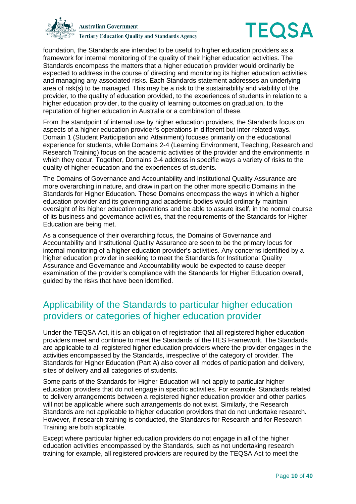



foundation, the Standards are intended to be useful to higher education providers as a framework for internal monitoring of the quality of their higher education activities. The Standards encompass the matters that a higher education provider would ordinarily be expected to address in the course of directing and monitoring its higher education activities and managing any associated risks. Each Standards statement addresses an underlying area of risk(s) to be managed. This may be a risk to the sustainability and viability of the provider, to the quality of education provided, to the experiences of students in relation to a higher education provider, to the quality of learning outcomes on graduation, to the reputation of higher education in Australia or a combination of these.

From the standpoint of internal use by higher education providers, the Standards focus on aspects of a higher education provider's operations in different but inter-related ways. Domain 1 (Student Participation and Attainment) focuses primarily on the educational experience for students, while Domains 2-4 (Learning Environment, Teaching, Research and Research Training) focus on the academic activities of the provider and the environments in which they occur. Together, Domains 2-4 address in specific ways a variety of risks to the quality of higher education and the experiences of students.

The Domains of Governance and Accountability and Institutional Quality Assurance are more overarching in nature, and draw in part on the other more specific Domains in the Standards for Higher Education. These Domains encompass the ways in which a higher education provider and its governing and academic bodies would ordinarily maintain oversight of its higher education operations and be able to assure itself, in the normal course of its business and governance activities, that the requirements of the Standards for Higher Education are being met.

As a consequence of their overarching focus, the Domains of Governance and Accountability and Institutional Quality Assurance are seen to be the primary locus for internal monitoring of a higher education provider's activities. Any concerns identified by a higher education provider in seeking to meet the Standards for Institutional Quality Assurance and Governance and Accountability would be expected to cause deeper examination of the provider's compliance with the Standards for Higher Education overall, guided by the risks that have been identified.

## Applicability of the Standards to particular higher education providers or categories of higher education provider

Under the TEQSA Act, it is an obligation of registration that all registered higher education providers meet and continue to meet the Standards of the HES Framework. The Standards are applicable to all registered higher education providers where the provider engages in the activities encompassed by the Standards, irrespective of the category of provider. The Standards for Higher Education (Part A) also cover all modes of participation and delivery, sites of delivery and all categories of students.

Some parts of the Standards for Higher Education will not apply to particular higher education providers that do not engage in specific activities. For example, Standards related to delivery arrangements between a registered higher education provider and other parties will not be applicable where such arrangements do not exist. Similarly, the Research Standards are not applicable to higher education providers that do not undertake research. However, if research training is conducted, the Standards for Research and for Research Training are both applicable.

Except where particular higher education providers do not engage in all of the higher education activities encompassed by the Standards, such as not undertaking research training for example, all registered providers are required by the TEQSA Act to meet the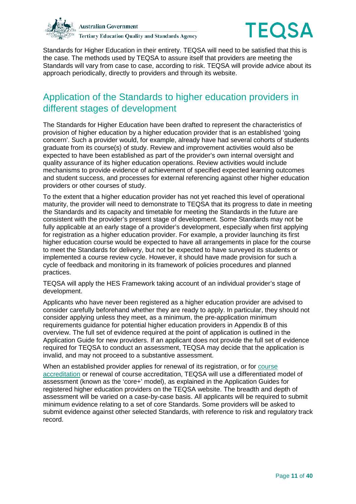



Standards for Higher Education in their entirety. TEQSA will need to be satisfied that this is the case. The methods used by TEQSA to assure itself that providers are meeting the Standards will vary from case to case, according to risk. TEQSA will provide advice about its approach periodically, directly to providers and through its website.

### Application of the Standards to higher education providers in different stages of development

The Standards for Higher Education have been drafted to represent the characteristics of provision of higher education by a higher education provider that is an established 'going concern'. Such a provider would, for example, already have had several cohorts of students graduate from its course(s) of study. Review and improvement activities would also be expected to have been established as part of the provider's own internal oversight and quality assurance of its higher education operations. Review activities would include mechanisms to provide evidence of achievement of specified expected learning outcomes and student success, and processes for external referencing against other higher education providers or other courses of study.

To the extent that a higher education provider has not yet reached this level of operational maturity, the provider will need to demonstrate to TEQSA that its progress to date in meeting the Standards and its capacity and timetable for meeting the Standards in the future are consistent with the provider's present stage of development. Some Standards may not be fully applicable at an early stage of a provider's development, especially when first applying for registration as a higher education provider. For example, a provider launching its first higher education course would be expected to have all arrangements in place for the course to meet the Standards for delivery, but not be expected to have surveyed its students or implemented a course review cycle. However, it should have made provision for such a cycle of feedback and monitoring in its framework of policies procedures and planned practices.

TEQSA will apply the HES Framework taking account of an individual provider's stage of development.

Applicants who have never been registered as a higher education provider are advised to consider carefully beforehand whether they are ready to apply. In particular, they should not consider applying unless they meet, as a minimum, the pre-application minimum requirements guidance for potential higher education providers in Appendix B of this overview. The full set of evidence required at the point of application is outlined in the Application Guide for new providers. If an applicant does not provide the full set of evidence required for TEQSA to conduct an assessment, TEQSA may decide that the application is invalid, and may not proceed to a substantive assessment.

When an established provider applies for renewal of its registration, or for [course](#page-34-2)  [accreditation](#page-34-2) or renewal of course accreditation, TEQSA will use a differentiated model of assessment (known as the 'core+' model), as explained in the Application Guides for registered higher education providers on the TEQSA website. The breadth and depth of assessment will be varied on a case-by-case basis. All applicants will be required to submit minimum evidence relating to a set of core Standards. Some providers will be asked to submit evidence against other selected Standards, with reference to risk and regulatory track record.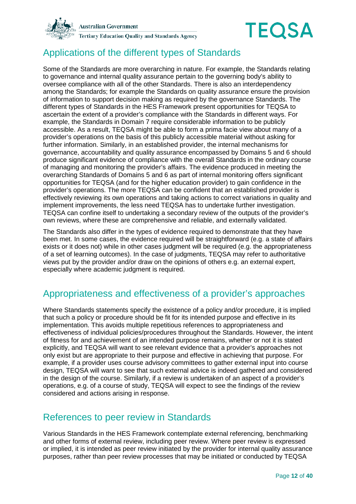



## Applications of the different types of Standards

Some of the Standards are more overarching in nature. For example, the Standards relating to governance and internal quality assurance pertain to the governing body's ability to oversee compliance with all of the other Standards. There is also an interdependency among the Standards; for example the Standards on quality assurance ensure the provision of information to support decision making as required by the governance Standards. The different types of Standards in the HES Framework present opportunities for TEQSA to ascertain the extent of a provider's compliance with the Standards in different ways. For example, the Standards in Domain 7 require considerable information to be publicly accessible. As a result, TEQSA might be able to form a prima facie view about many of a provider's operations on the basis of this publicly accessible material without asking for further information. Similarly, in an established provider, the internal mechanisms for governance, accountability and quality assurance encompassed by Domains 5 and 6 should produce significant evidence of compliance with the overall Standards in the ordinary course of managing and monitoring the provider's affairs. The evidence produced in meeting the overarching Standards of Domains 5 and 6 as part of internal monitoring offers significant opportunities for TEQSA (and for the higher education provider) to gain confidence in the provider's operations. The more TEQSA can be confident that an established provider is effectively reviewing its own operations and taking actions to correct variations in quality and implement improvements, the less need TEQSA has to undertake further investigation. TEQSA can confine itself to undertaking a secondary review of the outputs of the provider's own reviews, where these are comprehensive and reliable, and externally validated.

The Standards also differ in the types of evidence required to demonstrate that they have been met. In some cases, the evidence required will be straightforward (e.g. a state of affairs exists or it does not) while in other cases judgment will be required (e.g. the appropriateness of a set of learning outcomes). In the case of judgments, TEQSA may refer to authoritative views put by the provider and/or draw on the opinions of others e.g. an external expert, especially where academic judgment is required.

## Appropriateness and effectiveness of a provider's approaches

Where Standards statements specify the existence of a policy and/or procedure, it is implied that such a policy or procedure should be fit for its intended purpose and effective in its implementation. This avoids multiple repetitious references to appropriateness and effectiveness of individual policies/procedures throughout the Standards. However, the intent of fitness for and achievement of an intended purpose remains, whether or not it is stated explicitly, and TEQSA will want to see relevant evidence that a provider's approaches not only exist but are appropriate to their purpose and effective in achieving that purpose. For example, if a provider uses course advisory committees to gather external input into course design, TEQSA will want to see that such external advice is indeed gathered and considered in the design of the course. Similarly, if a review is undertaken of an aspect of a provider's operations, e.g. of a course of study, TEQSA will expect to see the findings of the review considered and actions arising in response.

### References to peer review in Standards

Various Standards in the HES Framework contemplate external referencing, benchmarking and other forms of external review, including peer review. Where peer review is expressed or implied, it is intended as peer review initiated by the provider for internal quality assurance purposes, rather than peer review processes that may be initiated or conducted by TEQSA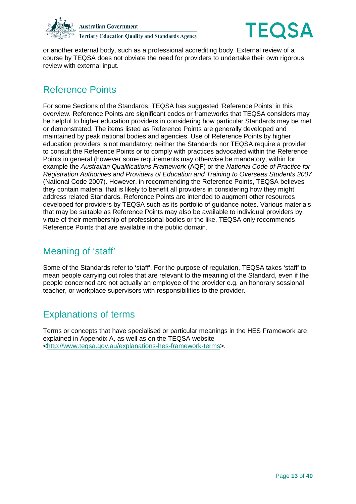



or another external body, such as a professional accrediting body. External review of a course by TEQSA does not obviate the need for providers to undertake their own rigorous review with external input.

## Reference Points

For some Sections of the Standards, TEQSA has suggested 'Reference Points' in this overview. Reference Points are significant codes or frameworks that TEQSA considers may be helpful to higher education providers in considering how particular Standards may be met or demonstrated. The items listed as Reference Points are generally developed and maintained by peak national bodies and agencies. Use of Reference Points by higher education providers is not mandatory; neither the Standards nor TEQSA require a provider to consult the Reference Points or to comply with practices advocated within the Reference Points in general (however some requirements may otherwise be mandatory, within for example the *Australian Qualifications Framework* (AQF) or the *National Code of Practice for Registration Authorities and Providers of Education and Training to Overseas Students 2007* (National Code 2007). However, in recommending the Reference Points, TEQSA believes they contain material that is likely to benefit all providers in considering how they might address related Standards. Reference Points are intended to augment other resources developed for providers by TEQSA such as its portfolio of guidance notes. Various materials that may be suitable as Reference Points may also be available to individual providers by virtue of their membership of professional bodies or the like. TEQSA only recommends Reference Points that are available in the public domain.

## Meaning of 'staff'

Some of the Standards refer to 'staff'. For the purpose of regulation, TEQSA takes 'staff' to mean people carrying out roles that are relevant to the meaning of the Standard, even if the people concerned are not actually an employee of the provider e.g. an honorary sessional teacher, or workplace supervisors with responsibilities to the provider.

## Explanations of terms

Terms or concepts that have specialised or particular meanings in the HES Framework are explained in Appendix A, as well as on the TEQSA website [<http://www.teqsa.gov.au/explanations-hes-framework-terms>](http://www.teqsa.gov.au/explanations-hes-framework-terms).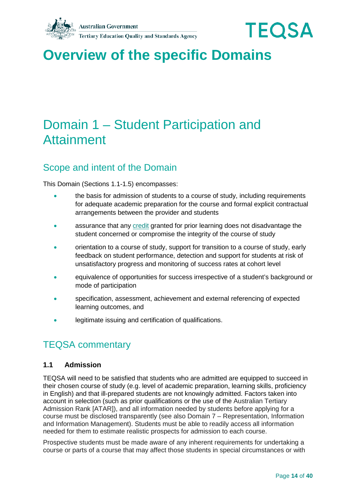



# <span id="page-13-0"></span>**Overview of the specific Domains**

# <span id="page-13-1"></span>Domain 1 – Student Participation and Attainment

## Scope and intent of the Domain

This Domain (Sections 1.1-1.5) encompasses:

- the basis for admission of students to a course of study, including requirements for adequate academic preparation for the course and formal explicit contractual arrangements between the provider and students
- assurance that any [credit](#page-35-1) granted for prior learning does not disadvantage the student concerned or compromise the integrity of the course of study
- orientation to a course of study, support for transition to a course of study, early feedback on student performance, detection and support for students at risk of unsatisfactory progress and monitoring of success rates at cohort level
- equivalence of opportunities for success irrespective of a student's background or mode of participation
- specification, assessment, achievement and external referencing of expected learning outcomes, and
- legitimate issuing and certification of qualifications.

## TEQSA commentary

### **1.1 Admission**

TEQSA will need to be satisfied that students who are admitted are equipped to succeed in their chosen course of study (e.g. level of academic preparation, learning skills, proficiency in English) and that ill-prepared students are not knowingly admitted. Factors taken into account in selection (such as prior qualifications or the use of the Australian Tertiary Admission Rank [ATAR]), and all information needed by students before applying for a course must be disclosed transparently (see also Domain 7 – Representation, Information and Information Management). Students must be able to readily access all information needed for them to estimate realistic prospects for admission to each course.

Prospective students must be made aware of any inherent requirements for undertaking a course or parts of a course that may affect those students in special circumstances or with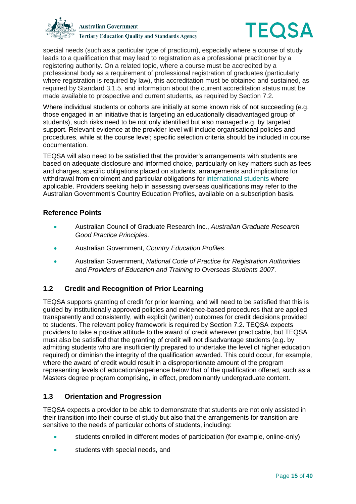



special needs (such as a particular type of practicum), especially where a course of study leads to a qualification that may lead to registration as a professional practitioner by a registering authority. On a related topic, where a course must be accredited by a professional body as a requirement of professional registration of graduates (particularly where registration is required by law), this accreditation must be obtained and sustained, as required by Standard 3.1.5, and information about the current accreditation status must be made available to prospective and current students, as required by Section 7.2.

Where individual students or cohorts are initially at some known risk of not succeeding (e.g. those engaged in an initiative that is targeting an educationally disadvantaged group of students), such risks need to be not only identified but also managed e.g. by targeted support. Relevant evidence at the provider level will include organisational policies and procedures, while at the course level; specific selection criteria should be included in course documentation.

TEQSA will also need to be satisfied that the provider's arrangements with students are based on adequate disclosure and informed choice, particularly on key matters such as fees and charges, specific obligations placed on students, arrangements and implications for withdrawal from enrolment and particular obligations for [international students](#page-36-0) where applicable. Providers seeking help in assessing overseas qualifications may refer to the Australian Government's Country Education Profiles, available on a subscription basis.

### **Reference Points**

- Australian Council of Graduate Research Inc., *Australian Graduate Research Good Practice Principles*.
- Australian Government, *Country Education Profiles*.
- Australian Government, *National Code of Practice for Registration Authorities and Providers of Education and Training to Overseas Students 2007*.

### **1.2 Credit and Recognition of Prior Learning**

TEQSA supports granting of credit for prior learning, and will need to be satisfied that this is guided by institutionally approved policies and evidence-based procedures that are applied transparently and consistently, with explicit (written) outcomes for credit decisions provided to students. The relevant policy framework is required by Section 7.2. TEQSA expects providers to take a positive attitude to the award of credit wherever practicable, but TEQSA must also be satisfied that the granting of credit will not disadvantage students (e.g. by admitting students who are insufficiently prepared to undertake the level of higher education required) or diminish the integrity of the qualification awarded. This could occur, for example, where the award of credit would result in a disproportionate amount of the program representing levels of education/experience below that of the qualification offered, such as a Masters degree program comprising, in effect, predominantly undergraduate content.

### **1.3 Orientation and Progression**

TEQSA expects a provider to be able to demonstrate that students are not only assisted in their transition into their course of study but also that the arrangements for transition are sensitive to the needs of particular cohorts of students, including:

- students enrolled in different modes of participation (for example, online-only)
- students with special needs, and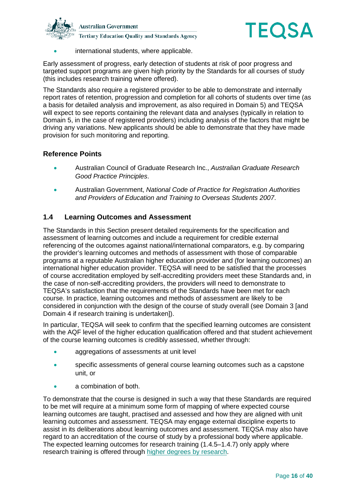



• international students, where applicable.

Early assessment of progress, early detection of students at risk of poor progress and targeted support programs are given high priority by the Standards for all courses of study (this includes research training where offered).

The Standards also require a registered provider to be able to demonstrate and internally report rates of retention, progression and completion for all cohorts of students over time (as a basis for detailed analysis and improvement, as also required in Domain 5) and TEQSA will expect to see reports containing the relevant data and analyses (typically in relation to Domain 5, in the case of registered providers) including analysis of the factors that might be driving any variations. New applicants should be able to demonstrate that they have made provision for such monitoring and reporting.

### **Reference Points**

- Australian Council of Graduate Research Inc., *Australian Graduate Research Good Practice Principles*.
- Australian Government, *National Code of Practice for Registration Authorities and Providers of Education and Training to Overseas Students 2007*.

### **1.4 Learning Outcomes and Assessment**

The Standards in this Section present detailed requirements for the specification and assessment of learning outcomes and include a requirement for credible external referencing of the outcomes against national/international comparators, e.g. by comparing the provider's learning outcomes and methods of assessment with those of comparable programs at a reputable Australian higher education provider and (for learning outcomes) an international higher education provider. TEQSA will need to be satisfied that the processes of course accreditation employed by self-accrediting providers meet these Standards and, in the case of non-self-accrediting providers, the providers will need to demonstrate to TEQSA's satisfaction that the requirements of the Standards have been met for each course. In practice, learning outcomes and methods of assessment are likely to be considered in conjunction with the design of the course of study overall (see Domain 3 [and Domain 4 if research training is undertaken]).

In particular, TEQSA will seek to confirm that the specified learning outcomes are consistent with the AQF level of the higher education qualification offered and that student achievement of the course learning outcomes is credibly assessed, whether through:

- aggregations of assessments at unit level
- specific assessments of general course learning outcomes such as a capstone unit, or
- a combination of both.

To demonstrate that the course is designed in such a way that these Standards are required to be met will require at a minimum some form of mapping of where expected course learning outcomes are taught, practised and assessed and how they are aligned with unit learning outcomes and assessment. TEQSA may engage external discipline experts to assist in its deliberations about learning outcomes and assessment. TEQSA may also have regard to an accreditation of the course of study by a professional body where applicable. The expected learning outcomes for research training (1.4.5–1.4.7) only apply where research training is offered through [higher degrees by research.](#page-35-2)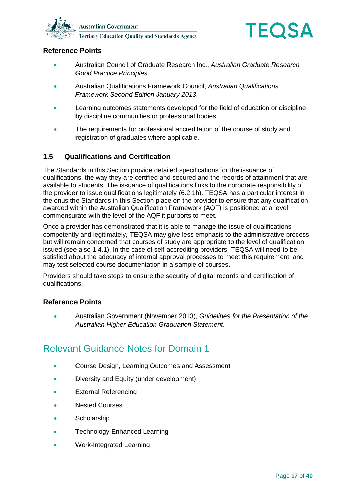



### **Reference Points**

- Australian Council of Graduate Research Inc., *Australian Graduate Research Good Practice Principles*.
- Australian Qualifications Framework Council, *Australian Qualifications Framework Second Edition January 2013*.
- Learning outcomes statements developed for the field of education or discipline by discipline communities or professional bodies.
- The requirements for professional accreditation of the course of study and registration of graduates where applicable.

### **1.5 Qualifications and Certification**

The Standards in this Section provide detailed specifications for the issuance of qualifications, the way they are certified and secured and the records of attainment that are available to students. The issuance of qualifications links to the corporate responsibility of the provider to issue qualifications legitimately (6.2.1h). TEQSA has a particular interest in the onus the Standards in this Section place on the provider to ensure that any qualification awarded within the Australian Qualification Framework (AQF) is positioned at a level commensurate with the level of the AQF it purports to meet.

Once a provider has demonstrated that it is able to manage the issue of qualifications competently and legitimately, TEQSA may give less emphasis to the administrative process but will remain concerned that courses of study are appropriate to the level of qualification issued (see also 1.4.1). In the case of self-accrediting providers, TEQSA will need to be satisfied about the adequacy of internal approval processes to meet this requirement, and may test selected course documentation in a sample of courses.

Providers should take steps to ensure the security of digital records and certification of qualifications.

### **Reference Points**

• Australian Government (November 2013), *Guidelines for the Presentation of the Australian Higher Education Graduation Statement*.

## Relevant Guidance Notes for Domain 1

- Course Design, Learning Outcomes and Assessment
- Diversity and Equity (under development)
- External Referencing
- Nested Courses
- **Scholarship**
- Technology-Enhanced Learning
- Work-Integrated Learning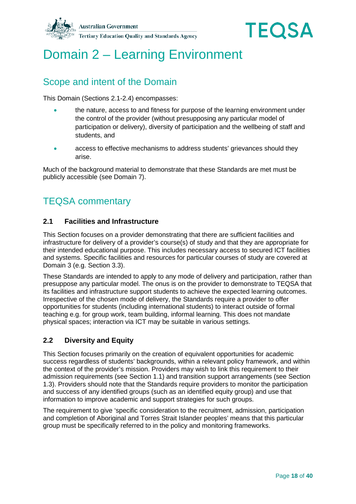



# <span id="page-17-0"></span>Domain 2 – Learning Environment

## Scope and intent of the Domain

This Domain (Sections 2.1-2.4) encompasses:

- the nature, access to and fitness for purpose of the learning environment under the control of the provider (without presupposing any particular model of participation or delivery), diversity of participation and the wellbeing of staff and students, and
- access to effective mechanisms to address students' grievances should they arise.

Much of the background material to demonstrate that these Standards are met must be publicly accessible (see Domain 7).

### TEQSA commentary

### **2.1 Facilities and Infrastructure**

This Section focuses on a provider demonstrating that there are sufficient facilities and infrastructure for delivery of a provider's course(s) of study and that they are appropriate for their intended educational purpose. This includes necessary access to secured ICT facilities and systems. Specific facilities and resources for particular courses of study are covered at Domain 3 (e.g. Section 3.3).

These Standards are intended to apply to any mode of delivery and participation, rather than presuppose any particular model. The onus is on the provider to demonstrate to TEQSA that its facilities and infrastructure support students to achieve the expected learning outcomes. Irrespective of the chosen mode of delivery, the Standards require a provider to offer opportunities for students (including international students) to interact outside of formal teaching e.g. for group work, team building, informal learning. This does not mandate physical spaces; interaction via ICT may be suitable in various settings.

### **2.2 Diversity and Equity**

This Section focuses primarily on the creation of equivalent opportunities for academic success regardless of students' backgrounds, within a relevant policy framework, and within the context of the provider's mission. Providers may wish to link this requirement to their admission requirements (see Section 1.1) and transition support arrangements (see Section 1.3). Providers should note that the Standards require providers to monitor the participation and success of any identified groups (such as an identified equity group) and use that information to improve academic and support strategies for such groups.

The requirement to give 'specific consideration to the recruitment, admission, participation and completion of Aboriginal and Torres Strait Islander peoples' means that this particular group must be specifically referred to in the policy and monitoring frameworks.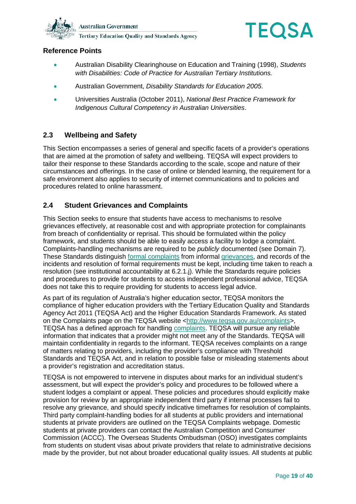



### **Reference Points**

- Australian Disability Clearinghouse on Education and Training (1998), *Students with Disabilities: Code of Practice for Australian Tertiary Institutions.*
- Australian Government, *Disability Standards for Education 2005*.
- Universities Australia (October 2011), *National Best Practice Framework for Indigenous Cultural Competency in Australian Universities*.

### **2.3 Wellbeing and Safety**

This Section encompasses a series of general and specific facets of a provider's operations that are aimed at the promotion of safety and wellbeing. TEQSA will expect providers to tailor their response to these Standards according to the scale, scope and nature of their circumstances and offerings. In the case of online or blended learning, the requirement for a safe environment also applies to security of internet communications and to policies and procedures related to online harassment.

### **2.4 Student Grievances and Complaints**

This Section seeks to ensure that students have access to mechanisms to resolve grievances effectively, at reasonable cost and with appropriate protection for complainants from breach of confidentiality or reprisal. This should be formulated within the policy framework, and students should be able to easily access a facility to lodge a complaint. Complaints-handling mechanisms are required to be *publicly* documented (see Domain 7). These Standards distinguish [formal complaints](#page-35-3) from informal [grievances,](#page-35-4) and records of the incidents and resolution of formal requirements must be kept, including time taken to reach a resolution (see institutional accountability at 6.2.1.j). While the Standards require policies and procedures to provide for students to access independent professional advice, TEQSA does not take this to require providing for students to access legal advice.

As part of its regulation of Australia's higher education sector, TEQSA monitors the compliance of higher education providers with the Tertiary Education Quality and Standards Agency Act 2011 (TEQSA Act) and the Higher Education Standards Framework. As stated on the Complaints page on the TEQSA website [<http://www.teqsa.gov.au/complaints>](http://www.teqsa.gov.au/complaints), TEQSA has a defined approach for handling [complaints.](#page-34-3) TEQSA will pursue any reliable information that indicates that a provider might not meet any of the Standards. TEQSA will maintain confidentiality in regards to the informant. TEQSA receives complaints on a range of matters relating to providers, including the provider's compliance with Threshold Standards and TEQSA Act, and in relation to possible false or misleading statements about a provider's registration and accreditation status.

TEQSA is not empowered to intervene in disputes about marks for an individual student's assessment, but will expect the provider's policy and procedures to be followed where a student lodges a complaint or appeal. These policies and procedures should explicitly make provision for review by an appropriate independent third party if internal processes fail to resolve any grievance, and should specify indicative timeframes for resolution of complaints. Third party complaint-handling bodies for all students at public providers and international students at private providers are outlined on the TEQSA Complaints webpage. Domestic students at private providers can contact the Australian Competition and Consumer Commission (ACCC). The Overseas Students Ombudsman (OSO) investigates complaints from students on student visas about private providers that relate to administrative decisions made by the provider, but not about broader educational quality issues. All students at public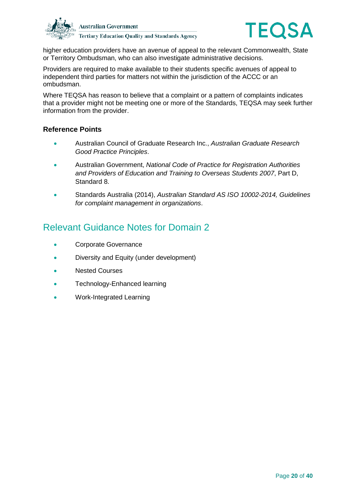



higher education providers have an avenue of appeal to the relevant Commonwealth, State or Territory Ombudsman, who can also investigate administrative decisions.

Providers are required to make available to their students specific avenues of appeal to independent third parties for matters not within the jurisdiction of the ACCC or an ombudsman.

Where TEQSA has reason to believe that a complaint or a pattern of complaints indicates that a provider might not be meeting one or more of the Standards, TEQSA may seek further information from the provider.

#### **Reference Points**

- Australian Council of Graduate Research Inc., *Australian Graduate Research Good Practice Principles*.
- Australian Government, *National Code of Practice for Registration Authorities and Providers of Education and Training to Overseas Students 2007*, Part D, Standard 8.
- Standards Australia (2014), *Australian Standard AS ISO 10002-2014, Guidelines for complaint management in organizations*.

## Relevant Guidance Notes for Domain 2

- Corporate Governance
- Diversity and Equity (under development)
- **Nested Courses**
- Technology-Enhanced learning
- Work-Integrated Learning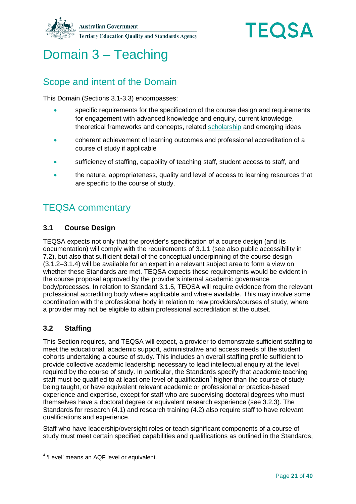



# <span id="page-20-0"></span>Domain 3 – Teaching

## Scope and intent of the Domain

This Domain (Sections 3.1-3.3) encompasses:

- specific requirements for the specification of the course design and requirements for engagement with advanced knowledge and enquiry, current knowledge, theoretical frameworks and concepts, related [scholarship](#page-37-3) and emerging ideas
- coherent achievement of learning outcomes and professional accreditation of a course of study if applicable
- sufficiency of staffing, capability of teaching staff, student access to staff, and
- the nature, appropriateness, quality and level of access to learning resources that are specific to the course of study.

# TEQSA commentary

### **3.1 Course Design**

TEQSA expects not only that the provider's specification of a course design (and its documentation) will comply with the requirements of 3.1.1 (see also public accessibility in 7.2), but also that sufficient detail of the conceptual underpinning of the course design (3.1.2–3.1.4) will be available for an expert in a relevant subject area to form a view on whether these Standards are met. TEQSA expects these requirements would be evident in the course proposal approved by the provider's internal academic governance body/processes. In relation to Standard 3.1.5, TEQSA will require evidence from the relevant professional accrediting body where applicable and where available. This may involve some coordination with the professional body in relation to new providers/courses of study, where a provider may not be eligible to attain professional accreditation at the outset.

### **3.2 Staffing**

This Section requires, and TEQSA will expect, a provider to demonstrate sufficient staffing to meet the educational, academic support, administrative and access needs of the student cohorts undertaking a course of study. This includes an overall staffing profile sufficient to provide collective academic leadership necessary to lead intellectual enquiry at the level required by the course of study. In particular, the Standards specify that academic teaching staff must be qualified to at least one level of qualification<sup>[4](#page-20-1)</sup> higher than the course of study being taught, or have equivalent relevant academic or professional or practice-based experience and expertise, except for staff who are supervising doctoral degrees who must themselves have a doctoral degree or equivalent research experience (see 3.2.3). The Standards for research (4.1) and research training (4.2) also require staff to have relevant qualifications and experience.

Staff who have leadership/oversight roles or teach significant components of a course of study must meet certain specified capabilities and qualifications as outlined in the Standards,

<span id="page-20-1"></span> <sup>4</sup> 'Level' means an AQF level or equivalent.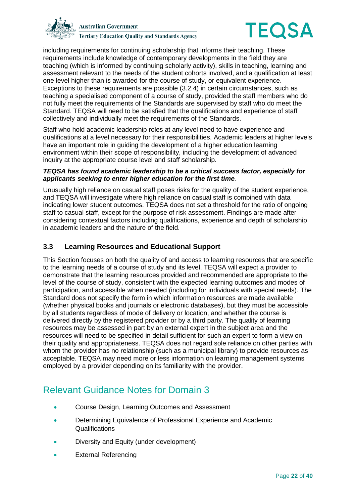



including requirements for continuing scholarship that informs their teaching. These requirements include knowledge of contemporary developments in the field they are teaching (which is informed by continuing scholarly activity), skills in teaching, learning and assessment relevant to the needs of the student cohorts involved, and a qualification at least one level higher than is awarded for the course of study, or equivalent experience. Exceptions to these requirements are possible (3.2.4) in certain circumstances, such as teaching a specialised component of a course of study, provided the staff members who do not fully meet the requirements of the Standards are supervised by staff who do meet the Standard. TEQSA will need to be satisfied that the qualifications and experience of staff collectively and individually meet the requirements of the Standards.

Staff who hold academic leadership roles at any level need to have experience and qualifications at a level necessary for their responsibilities. Academic leaders at higher levels have an important role in guiding the development of a higher education learning environment within their scope of responsibility, including the development of advanced inquiry at the appropriate course level and staff scholarship.

#### *TEQSA has found academic leadership to be a critical success factor, especially for applicants seeking to enter higher education for the first time.*

Unusually high reliance on casual staff poses risks for the quality of the student experience, and TEQSA will investigate where high reliance on casual staff is combined with data indicating lower student outcomes. TEQSA does not set a threshold for the ratio of ongoing staff to casual staff, except for the purpose of risk assessment. Findings are made after considering contextual factors including qualifications, experience and depth of scholarship in academic leaders and the nature of the field.

### **3.3 Learning Resources and Educational Support**

This Section focuses on both the quality of and access to learning resources that are specific to the learning needs of a course of study and its level. TEQSA will expect a provider to demonstrate that the learning resources provided and recommended are appropriate to the level of the course of study, consistent with the expected learning outcomes and modes of participation, and accessible when needed (including for individuals with special needs). The Standard does not specify the form in which information resources are made available (whether physical books and journals or electronic databases), but they must be accessible by all students regardless of mode of delivery or location, and whether the course is delivered directly by the registered provider or by a third party. The quality of learning resources may be assessed in part by an external expert in the subject area and the resources will need to be specified in detail sufficient for such an expert to form a view on their quality and appropriateness. TEQSA does not regard sole reliance on other parties with whom the provider has no relationship (such as a municipal library) to provide resources as acceptable. TEQSA may need more or less information on learning management systems employed by a provider depending on its familiarity with the provider.

## Relevant Guidance Notes for Domain 3

- Course Design, Learning Outcomes and Assessment
- Determining Equivalence of Professional Experience and Academic Qualifications
- Diversity and Equity (under development)
- External Referencing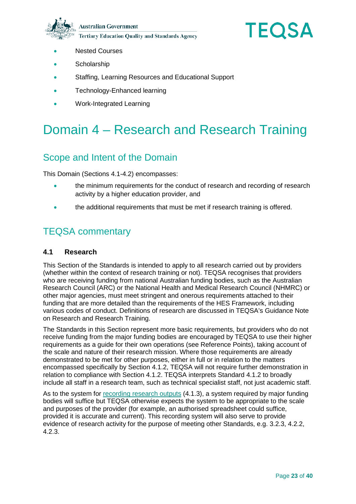**Australian Government Tertiary Education Quality and Standards Agency** 



- **Nested Courses**
- **Scholarship**
- Staffing, Learning Resources and Educational Support
- Technology-Enhanced learning
- Work-Integrated Learning

# <span id="page-22-0"></span>Domain 4 – Research and Research Training

## Scope and Intent of the Domain

This Domain (Sections 4.1-4.2) encompasses:

- the minimum requirements for the conduct of research and recording of research activity by a higher education provider, and
- the additional requirements that must be met if research training is offered.

## TEQSA commentary

#### **4.1 Research**

This Section of the Standards is intended to apply to all research carried out by providers (whether within the context of research training or not). TEQSA recognises that providers who are receiving funding from national Australian funding bodies, such as the Australian Research Council (ARC) or the National Health and Medical Research Council (NHMRC) or other major agencies, must meet stringent and onerous requirements attached to their funding that are more detailed than the requirements of the HES Framework, including various codes of conduct. Definitions of research are discussed in TEQSA's Guidance Note on Research and Research Training.

The Standards in this Section represent more basic requirements, but providers who do not receive funding from the major funding bodies are encouraged by TEQSA to use their higher requirements as a guide for their own operations (see Reference Points), taking account of the scale and nature of their research mission. Where those requirements are already demonstrated to be met for other purposes, either in full or in relation to the matters encompassed specifically by Section 4.1.2, TEQSA will not require further demonstration in relation to compliance with Section 4.1.2. TEQSA interprets Standard 4.1.2 to broadly include all staff in a research team, such as technical specialist staff, not just academic staff.

As to the system for [recording research outputs](#page-37-4) (4.1.3), a system required by major funding bodies will suffice but TEQSA otherwise expects the system to be appropriate to the scale and purposes of the provider (for example, an authorised spreadsheet could suffice, provided it is accurate and current). This recording system will also serve to provide evidence of research activity for the purpose of meeting other Standards, e.g. 3.2.3, 4.2.2, 4.2.3.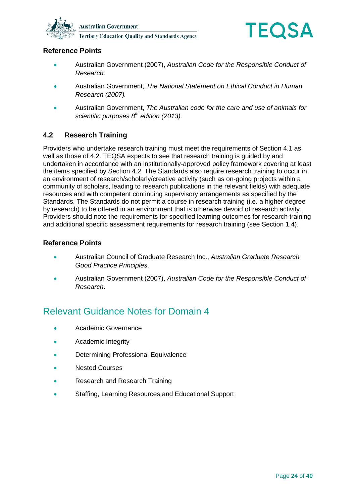



### **Reference Points**

- Australian Government (2007), *Australian Code for the Responsible Conduct of Research*.
- Australian Government, *The National Statement on Ethical Conduct in Human Research (2007).*
- Australian Government, *The Australian code for the care and use of animals for scientific purposes 8th edition (2013).*

### **4.2 Research Training**

Providers who undertake research training must meet the requirements of Section 4.1 as well as those of 4.2. TEQSA expects to see that research training is guided by and undertaken in accordance with an institutionally-approved policy framework covering at least the items specified by Section 4.2. The Standards also require research training to occur in an environment of research/scholarly/creative activity (such as on-going projects within a community of scholars, leading to research publications in the relevant fields) with adequate resources and with competent continuing supervisory arrangements as specified by the Standards. The Standards do not permit a course in research training (i.e. a higher degree by research) to be offered in an environment that is otherwise devoid of research activity. Providers should note the requirements for specified learning outcomes for research training and additional specific assessment requirements for research training (see Section 1.4).

### **Reference Points**

- Australian Council of Graduate Research Inc., *Australian Graduate Research Good Practice Principles*.
- Australian Government (2007), *Australian Code for the Responsible Conduct of Research*.

## Relevant Guidance Notes for Domain 4

- Academic Governance
- Academic Integrity
- Determining Professional Equivalence
- Nested Courses
- Research and Research Training
- Staffing, Learning Resources and Educational Support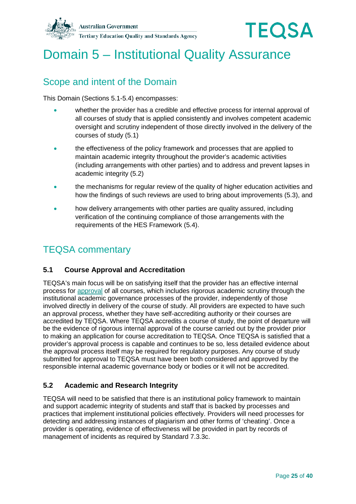



# <span id="page-24-0"></span>Domain 5 – Institutional Quality Assurance

## Scope and intent of the Domain

This Domain (Sections 5.1-5.4) encompasses:

- whether the provider has a credible and effective process for internal approval of all courses of study that is applied consistently and involves competent academic oversight and scrutiny independent of those directly involved in the delivery of the courses of study (5.1)
- the effectiveness of the policy framework and processes that are applied to maintain academic integrity throughout the provider's academic activities (including arrangements with other parties) and to address and prevent lapses in academic integrity (5.2)
- the mechanisms for regular review of the quality of higher education activities and how the findings of such reviews are used to bring about improvements (5.3), and
- how delivery arrangements with other parties are quality assured, including verification of the continuing compliance of those arrangements with the requirements of the HES Framework (5.4).

## TEQSA commentary

### **5.1 Course Approval and Accreditation**

TEQSA's main focus will be on satisfying itself that the provider has an effective internal process for [approval](#page-34-4) of all courses, which includes rigorous academic scrutiny through the institutional academic governance processes of the provider, independently of those involved directly in delivery of the course of study. All providers are expected to have such an approval process, whether they have self-accrediting authority or their courses are accredited by TEQSA. Where TEQSA accredits a course of study, the point of departure will be the evidence of rigorous internal approval of the course carried out by the provider prior to making an application for course accreditation to TEQSA. Once TEQSA is satisfied that a provider's approval process is capable and continues to be so, less detailed evidence about the approval process itself may be required for regulatory purposes. Any course of study submitted for approval to TEQSA must have been both considered and approved by the responsible internal academic governance body or bodies or it will not be accredited.

### **5.2 Academic and Research Integrity**

TEQSA will need to be satisfied that there is an institutional policy framework to maintain and support academic integrity of students and staff that is backed by processes and practices that implement institutional policies effectively. Providers will need processes for detecting and addressing instances of plagiarism and other forms of 'cheating'. Once a provider is operating, evidence of effectiveness will be provided in part by records of management of incidents as required by Standard 7.3.3c.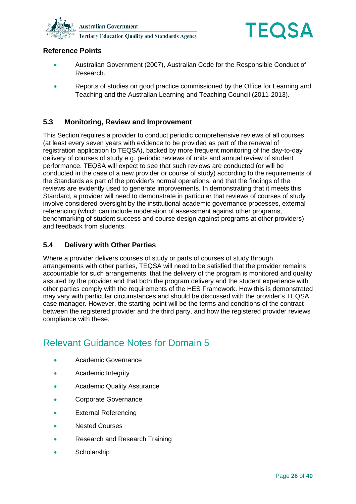



### **Reference Points**

- Australian Government (2007), Australian Code for the Responsible Conduct of Research.
- Reports of studies on good practice commissioned by the Office for Learning and Teaching and the Australian Learning and Teaching Council (2011-2013).

### **5.3 Monitoring, Review and Improvement**

This Section requires a provider to conduct periodic comprehensive reviews of all courses (at least every seven years with evidence to be provided as part of the renewal of registration application to TEQSA), backed by more frequent monitoring of the day-to-day delivery of courses of study e.g. periodic reviews of units and annual review of student performance. TEQSA will expect to see that such reviews are conducted (or will be conducted in the case of a new provider or course of study) according to the requirements of the Standards as part of the provider's normal operations, and that the findings of the reviews are evidently used to generate improvements. In demonstrating that it meets this Standard, a provider will need to demonstrate in particular that reviews of courses of study involve considered oversight by the institutional academic governance processes, external referencing (which can include moderation of assessment against other programs, benchmarking of student success and course design against programs at other providers) and feedback from students.

### **5.4 Delivery with Other Parties**

Where a provider delivers courses of study or parts of courses of study through arrangements with other parties, TEQSA will need to be satisfied that the provider remains accountable for such arrangements, that the delivery of the program is monitored and quality assured by the provider and that both the program delivery and the student experience with other parties comply with the requirements of the HES Framework. How this is demonstrated may vary with particular circumstances and should be discussed with the provider's TEQSA case manager. However, the starting point will be the terms and conditions of the contract between the registered provider and the third party, and how the registered provider reviews compliance with these.

## Relevant Guidance Notes for Domain 5

- Academic Governance
- Academic Integrity
- Academic Quality Assurance
- Corporate Governance
- **External Referencing**
- Nested Courses
- Research and Research Training
- **Scholarship**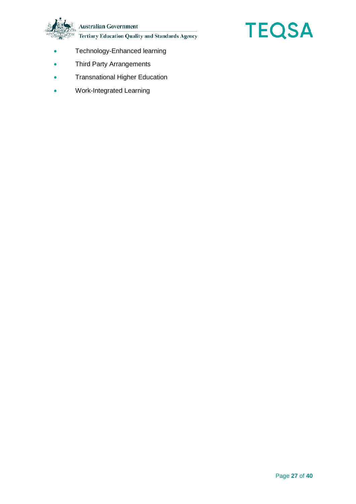**Australian Government** 

**Tertiary Education Quality and Standards Agency** 



- Technology-Enhanced learning
- Third Party Arrangements
- Transnational Higher Education
- Work-Integrated Learning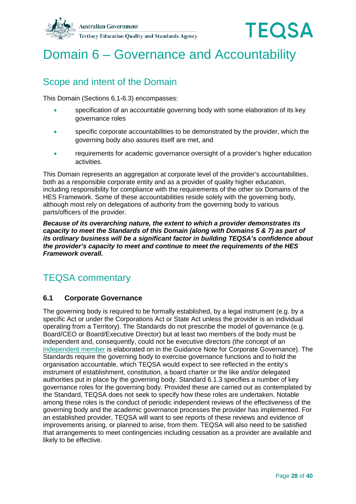



# <span id="page-27-0"></span>Domain 6 – Governance and Accountability

## Scope and intent of the Domain

This Domain (Sections 6.1-6.3) encompasses:

- specification of an accountable governing body with some elaboration of its key governance roles
- specific corporate accountabilities to be demonstrated by the provider, which the governing body also assures itself are met, and
- requirements for academic governance oversight of a provider's higher education activities.

This Domain represents an aggregation at corporate level of the provider's accountabilities, both as a responsible corporate entity and as a provider of quality higher education, including responsibility for compliance with the requirements of the other six Domains of the HES Framework. Some of these accountabilities reside solely with the governing body, although most rely on delegations of authority from the governing body to various parts/officers of the provider.

*Because of its overarching nature, the extent to which a provider demonstrates its capacity to meet the Standards of this Domain (along with Domains 5 & 7) as part of its ordinary business will be a significant factor in building TEQSA's confidence about the provider's capacity to meet and continue to meet the requirements of the HES Framework overall.* 

## TEQSA commentary

### **6.1 Corporate Governance**

The governing body is required to be formally established, by a legal instrument (e.g. by a specific Act or under the Corporations Act or State Act unless the provider is an individual operating from a Territory). The Standards do not prescribe the model of governance (e.g. Board/CEO or Board/Executive Director) but at least two members of the body must be independent and, consequently, could not be executive directors (the concept of an [independent member](#page-35-5) is elaborated on in the Guidance Note for Corporate Governance). The Standards require the governing body to exercise governance functions and to hold the organisation accountable, which TEQSA would expect to see reflected in the entity's instrument of establishment, constitution, a board charter or the like and/or delegated authorities put in place by the governing body. Standard 6.1.3 specifies a number of key governance roles for the governing body. Provided these are carried out as contemplated by the Standard, TEQSA does not seek to specify how these roles are undertaken. Notable among these roles is the conduct of periodic independent reviews of the effectiveness of the governing body and the academic governance processes the provider has implemented. For an established provider, TEQSA will want to see reports of these reviews and evidence of improvements arising, or planned to arise, from them. TEQSA will also need to be satisfied that arrangements to meet contingencies including cessation as a provider are available and likely to be effective.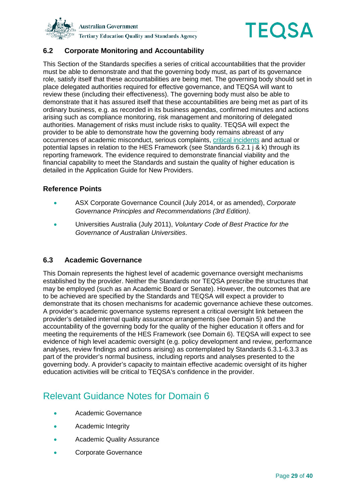



### **6.2 Corporate Monitoring and Accountability**

This Section of the Standards specifies a series of critical accountabilities that the provider must be able to demonstrate and that the governing body must, as part of its governance role, satisfy itself that these accountabilities are being met. The governing body should set in place delegated authorities required for effective governance, and TEQSA will want to review these (including their effectiveness). The governing body must also be able to demonstrate that it has assured itself that these accountabilities are being met as part of its ordinary business, e.g. as recorded in its business agendas, confirmed minutes and actions arising such as compliance monitoring, risk management and monitoring of delegated authorities. Management of risks must include risks to quality. TEQSA will expect the provider to be able to demonstrate how the governing body remains abreast of any occurrences of academic misconduct, serious complaints, [critical incidents](#page-35-6) and actual or potential lapses in relation to the HES Framework (see Standards 6.2.1 j & k) through its reporting framework. The evidence required to demonstrate financial viability and the financial capability to meet the Standards and sustain the quality of higher education is detailed in the Application Guide for New Providers.

#### **Reference Points**

- ASX Corporate Governance Council (July 2014, or as amended), *Corporate Governance Principles and Recommendations (3rd Edition)*.
- Universities Australia (July 2011), *Voluntary Code of Best Practice for the Governance of Australian Universities*.

#### **6.3 Academic Governance**

This Domain represents the highest level of academic governance oversight mechanisms established by the provider. Neither the Standards nor TEQSA prescribe the structures that may be employed (such as an Academic Board or Senate). However, the outcomes that are to be achieved are specified by the Standards and TEQSA will expect a provider to demonstrate that its chosen mechanisms for academic governance achieve these outcomes. A provider's academic governance systems represent a critical oversight link between the provider's detailed internal quality assurance arrangements (see Domain 5) and the accountability of the governing body for the quality of the higher education it offers and for meeting the requirements of the HES Framework (see Domain 6). TEQSA will expect to see evidence of high level academic oversight (e.g. policy development and review, performance analyses, review findings and actions arising) as contemplated by Standards 6.3.1-6.3.3 as part of the provider's normal business, including reports and analyses presented to the governing body. A provider's capacity to maintain effective academic oversight of its higher education activities will be critical to TEQSA's confidence in the provider.

## Relevant Guidance Notes for Domain 6

- Academic Governance
- Academic Integrity
- Academic Quality Assurance
- Corporate Governance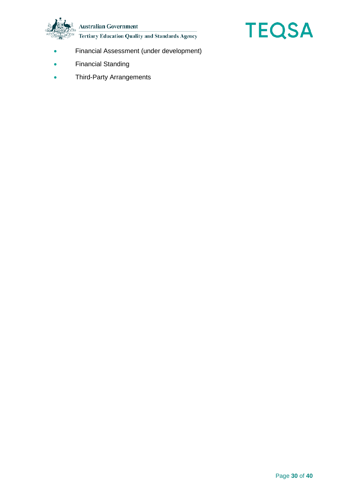**Australian Government** 

**Tertiary Education Quality and Standards Agency** 



- Financial Assessment (under development)
- Financial Standing
- Third-Party Arrangements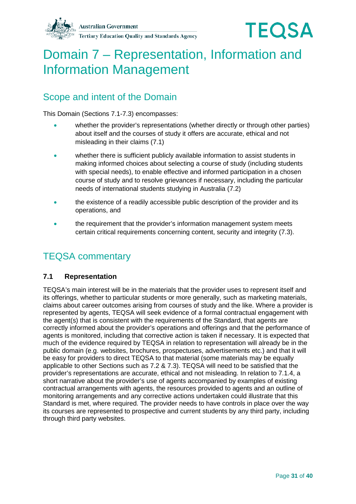



# <span id="page-30-0"></span>Domain 7 – Representation, Information and Information Management

## Scope and intent of the Domain

This Domain (Sections 7.1-7.3) encompasses:

- whether the provider's representations (whether directly or through other parties) about itself and the courses of study it offers are accurate, ethical and not misleading in their claims (7.1)
- whether there is sufficient publicly available information to assist students in making informed choices about selecting a course of study (including students with special needs), to enable effective and informed participation in a chosen course of study and to resolve grievances if necessary, including the particular needs of international students studying in Australia (7.2)
- the existence of a readily accessible public description of the provider and its operations, and
- the requirement that the provider's information management system meets certain critical requirements concerning content, security and integrity (7.3).

### TEQSA commentary

### **7.1 Representation**

TEQSA's main interest will be in the materials that the provider uses to represent itself and its offerings, whether to particular students or more generally, such as marketing materials, claims about career outcomes arising from courses of study and the like. Where a provider is represented by agents, TEQSA will seek evidence of a formal contractual engagement with the agent(s) that is consistent with the requirements of the Standard, that agents are correctly informed about the provider's operations and offerings and that the performance of agents is monitored, including that corrective action is taken if necessary. It is expected that much of the evidence required by TEQSA in relation to representation will already be in the public domain (e.g. websites, brochures, prospectuses, advertisements etc.) and that it will be easy for providers to direct TEQSA to that material (some materials may be equally applicable to other Sections such as 7.2 & 7.3). TEQSA will need to be satisfied that the provider's representations are accurate, ethical and not misleading. In relation to 7.1.4, a short narrative about the provider's use of agents accompanied by examples of existing contractual arrangements with agents, the resources provided to agents and an outline of monitoring arrangements and any corrective actions undertaken could illustrate that this Standard is met, where required. The provider needs to have controls in place over the way its courses are represented to prospective and current students by any third party, including through third party websites.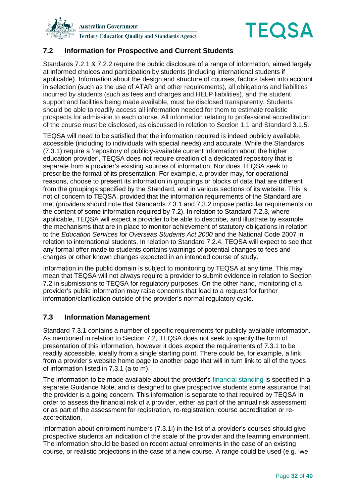



### **7.2 Information for Prospective and Current Students**

Standards 7.2.1 & 7.2.2 require the public disclosure of a range of information, aimed largely at informed choices and participation by students (including international students if applicable). Information about the design and structure of courses, factors taken into account in selection (such as the use of ATAR and other requirements), all obligations and liabilities incurred by students (such as fees and charges and HELP liabilities), and the student support and facilities being made available, must be disclosed transparently. Students should be able to readily access all information needed for them to estimate realistic prospects for admission to each course. All information relating to professional accreditation of the course must be disclosed, as discussed in relation to Section 1.1 and Standard 3.1.5.

TEQSA will need to be satisfied that the information required is indeed publicly available, accessible (including to individuals with special needs) and accurate. While the Standards (7.3.1) require a 'repository of publicly-available current information about the higher education provider', TEQSA does not require creation of a dedicated repository that is separate from a provider's existing sources of information. Nor does TEQSA seek to prescribe the format of its presentation. For example, a provider may, for operational reasons, choose to present its information in groupings or blocks of data that are different from the groupings specified by the Standard, and in various sections of its website. This is not of concern to TEQSA, provided that the information requirements of the Standard are met (providers should note that Standards 7.3.1 and 7.3.2 impose particular requirements on the content of some information required by 7.2). In relation to Standard 7.2.3, where applicable, TEQSA will expect a provider to be able to describe, and illustrate by example, the mechanisms that are in place to monitor achievement of statutory obligations in relation to the *Education Services for Overseas Students Act 2000* and the National Code 2007 in relation to international students. In relation to Standard 7.2.4, TEQSA will expect to see that any formal offer made to students contains warnings of potential changes to fees and charges or other known changes expected in an intended course of study.

Information in the public domain is subject to monitoring by TEQSA at any time. This may mean that TEQSA will not always require a provider to submit evidence in relation to Section 7.2 in submissions to TEQSA for regulatory purposes. On the other hand, monitoring of a provider's public information may raise concerns that lead to a request for further information/clarification outside of the provider's normal regulatory cycle.

### **7.3 Information Management**

Standard 7.3.1 contains a number of specific requirements for publicly available information. As mentioned in relation to Section 7.2, TEQSA does not seek to specify the form of presentation of this information, however it does expect the requirements of 7.3.1 to be readily accessible, ideally from a single starting point. There could be, for example, a link from a provider's website home page to another page that will in turn link to all of the types of information listed in 7.3.1 (a to m).

The information to be made available about the provider's [financial standing](#page-35-7) is specified in a separate Guidance Note, and is designed to give prospective students some assurance that the provider is a going concern. This information is separate to that required by TEQSA in order to assess the financial risk of a provider, either as part of the annual risk assessment or as part of the assessment for registration, re-registration, course accreditation or reaccreditation.

Information about enrolment numbers (7.3.1i) in the list of a provider's courses should give prospective students an indication of the scale of the provider and the learning environment. The information should be based on recent actual enrolments in the case of an existing course, or realistic projections in the case of a new course. A range could be used (e.g. 'we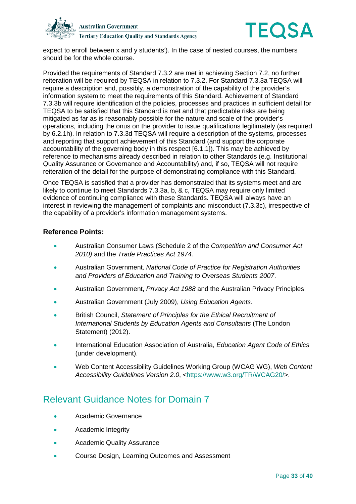



expect to enroll between x and y students'). In the case of nested courses, the numbers should be for the whole course.

Provided the requirements of Standard 7.3.2 are met in achieving Section 7.2, no further reiteration will be required by TEQSA in relation to 7.3.2. For Standard 7.3.3a TEQSA will require a description and, possibly, a demonstration of the capability of the provider's information system to meet the requirements of this Standard. Achievement of Standard 7.3.3b will require identification of the policies, processes and practices in sufficient detail for TEQSA to be satisfied that this Standard is met and that predictable risks are being mitigated as far as is reasonably possible for the nature and scale of the provider's operations, including the onus on the provider to issue qualifications legitimately (as required by 6.2.1h). In relation to 7.3.3d TEQSA will require a description of the systems, processes and reporting that support achievement of this Standard (and support the corporate accountability of the governing body in this respect [6.1.1]). This may be achieved by reference to mechanisms already described in relation to other Standards (e.g. Institutional Quality Assurance or Governance and Accountability) and, if so, TEQSA will not require reiteration of the detail for the purpose of demonstrating compliance with this Standard.

Once TEQSA is satisfied that a provider has demonstrated that its systems meet and are likely to continue to meet Standards 7.3.3a, b, & c, TEQSA may require only limited evidence of continuing compliance with these Standards. TEQSA will always have an interest in reviewing the management of complaints and misconduct (7.3.3c), irrespective of the capability of a provider's information management systems.

### **Reference Points:**

- Australian Consumer Laws (Schedule 2 of the *Competition and Consumer Act 2010)* and the *Trade Practices Act 1974.*
- Australian Government*, National Code of Practice for Registration Authorities and Providers of Education and Training to Overseas Students 2007*.
- Australian Government, *Privacy Act 1988* and the Australian Privacy Principles.
- Australian Government (July 2009), *Using Education Agents*.
- British Council, *Statement of Principles for the Ethical Recruitment of International Students by Education Agents and Consultants* (The London Statement) (2012).
- International Education Association of Australia, *Education Agent Code of Ethics* (under development).
- Web Content Accessibility Guidelines Working Group (WCAG WG), *Web Content*  Accessibility Guidelines Version 2.0, [<https://www.w3.org/TR/WCAG20/>](https://www.w3.org/TR/WCAG20/).

## Relevant Guidance Notes for Domain 7

- Academic Governance
- Academic Integrity
- Academic Quality Assurance
- Course Design, Learning Outcomes and Assessment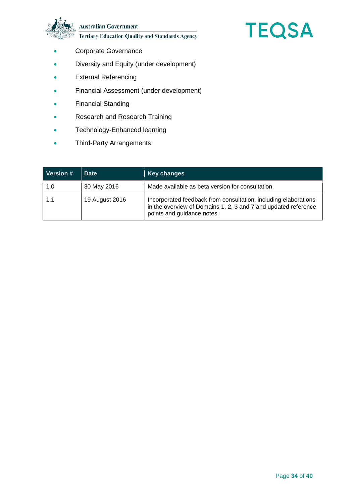**Australian Government** 



- **Tertiary Education Quality and Standards Agency**
- Corporate Governance
- Diversity and Equity (under development)
- External Referencing
- Financial Assessment (under development)
- Financial Standing
- Research and Research Training
- Technology-Enhanced learning
- Third-Party Arrangements

| Version # | <b>Date</b>    | <b>Key changes</b>                                                                                                                                              |
|-----------|----------------|-----------------------------------------------------------------------------------------------------------------------------------------------------------------|
| 1.0       | 30 May 2016    | Made available as beta version for consultation.                                                                                                                |
| 1.1       | 19 August 2016 | Incorporated feedback from consultation, including elaborations<br>in the overview of Domains 1, 2, 3 and 7 and updated reference<br>points and guidance notes. |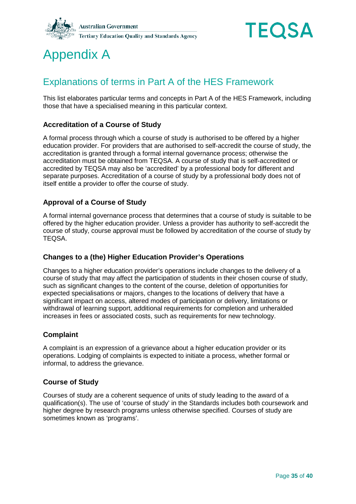



# <span id="page-34-0"></span>Appendix A

# Explanations of terms in Part A of the HES Framework

This list elaborates particular terms and concepts in Part A of the HES Framework, including those that have a specialised meaning in this particular context.

### <span id="page-34-2"></span>**Accreditation of a Course of Study**

A formal process through which a course of study is authorised to be offered by a higher education provider. For providers that are authorised to self-accredit the course of study, the accreditation is granted through a formal internal governance process; otherwise the accreditation must be obtained from TEQSA. A course of study that is self-accredited or accredited by TEQSA may also be 'accredited' by a professional body for different and separate purposes. Accreditation of a course of study by a professional body does not of itself entitle a provider to offer the course of study.

### <span id="page-34-4"></span>**Approval of a Course of Study**

A formal internal governance process that determines that a course of study is suitable to be offered by the higher education provider. Unless a provider has authority to self-accredit the course of study, course approval must be followed by accreditation of the course of study by TEQSA.

#### **Changes to a (the) Higher Education Provider's Operations**

Changes to a higher education provider's operations include changes to the delivery of a course of study that may affect the participation of students in their chosen course of study, such as significant changes to the content of the course, deletion of opportunities for expected specialisations or majors, changes to the locations of delivery that have a significant impact on access, altered modes of participation or delivery, limitations or withdrawal of learning support, additional requirements for completion and unheralded increases in fees or associated costs, such as requirements for new technology.

### <span id="page-34-3"></span>**Complaint**

A complaint is an expression of a grievance about a higher education provider or its operations. Lodging of complaints is expected to initiate a process, whether formal or informal, to address the grievance.

#### <span id="page-34-1"></span>**Course of Study**

Courses of study are a coherent sequence of units of study leading to the award of a qualification(s). The use of 'course of study' in the Standards includes both coursework and higher degree by research programs unless otherwise specified. Courses of study are sometimes known as 'programs'.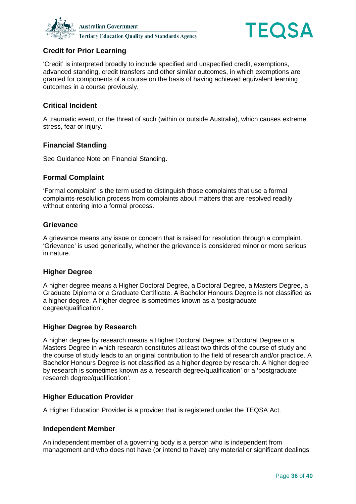



### <span id="page-35-1"></span>**Credit for Prior Learning**

'Credit' is interpreted broadly to include specified and unspecified credit, exemptions, advanced standing, credit transfers and other similar outcomes, in which exemptions are granted for components of a course on the basis of having achieved equivalent learning outcomes in a course previously.

### <span id="page-35-6"></span>**Critical Incident**

A traumatic event, or the threat of such (within or outside Australia), which causes extreme stress, fear or injury.

#### <span id="page-35-7"></span>**Financial Standing**

See Guidance Note on Financial Standing.

#### <span id="page-35-3"></span>**Formal Complaint**

'Formal complaint' is the term used to distinguish those complaints that use a formal complaints-resolution process from complaints about matters that are resolved readily without entering into a formal process.

#### <span id="page-35-4"></span>**Grievance**

A grievance means any issue or concern that is raised for resolution through a complaint. 'Grievance' is used generically, whether the grievance is considered minor or more serious in nature.

#### **Higher Degree**

A higher degree means a Higher Doctoral Degree, a Doctoral Degree, a Masters Degree, a Graduate Diploma or a Graduate Certificate. A Bachelor Honours Degree is not classified as a higher degree. A higher degree is sometimes known as a 'postgraduate degree/qualification'.

### <span id="page-35-2"></span>**Higher Degree by Research**

A higher degree by research means a Higher Doctoral Degree, a Doctoral Degree or a Masters Degree in which research constitutes at least two thirds of the course of study and the course of study leads to an original contribution to the field of research and/or practice. A Bachelor Honours Degree is not classified as a higher degree by research. A higher degree by research is sometimes known as a 'research degree/qualification' or a 'postgraduate research degree/qualification'.

#### <span id="page-35-0"></span>**Higher Education Provider**

A Higher Education Provider is a provider that is registered under the TEQSA Act.

#### <span id="page-35-5"></span>**Independent Member**

An independent member of a governing body is a person who is independent from management and who does not have (or intend to have) any material or significant dealings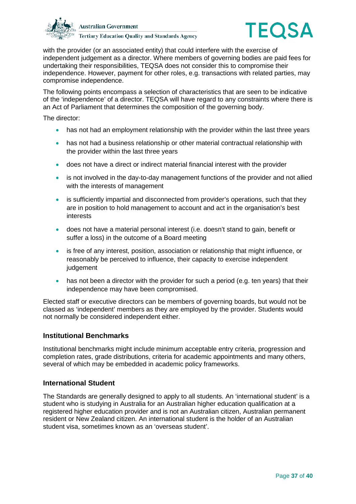



with the provider (or an associated entity) that could interfere with the exercise of independent judgement as a director. Where members of governing bodies are paid fees for undertaking their responsibilities, TEQSA does not consider this to compromise their independence. However, payment for other roles, e.g. transactions with related parties, may compromise independence.

The following points encompass a selection of characteristics that are seen to be indicative of the 'independence' of a director. TEQSA will have regard to any constraints where there is an Act of Parliament that determines the composition of the governing body.

The director:

- has not had an employment relationship with the provider within the last three years
- has not had a business relationship or other material contractual relationship with the provider within the last three years
- does not have a direct or indirect material financial interest with the provider
- is not involved in the day-to-day management functions of the provider and not allied with the interests of management
- is sufficiently impartial and disconnected from provider's operations, such that they are in position to hold management to account and act in the organisation's best interests
- does not have a material personal interest (i.e. doesn't stand to gain, benefit or suffer a loss) in the outcome of a Board meeting
- is free of any interest, position, association or relationship that might influence, or reasonably be perceived to influence, their capacity to exercise independent iudgement
- has not been a director with the provider for such a period (e.g. ten years) that their independence may have been compromised.

Elected staff or executive directors can be members of governing boards, but would not be classed as 'independent' members as they are employed by the provider. Students would not normally be considered independent either.

#### **Institutional Benchmarks**

Institutional benchmarks might include minimum acceptable entry criteria, progression and completion rates, grade distributions, criteria for academic appointments and many others, several of which may be embedded in academic policy frameworks.

#### <span id="page-36-0"></span>**International Student**

The Standards are generally designed to apply to all students. An 'international student' is a student who is studying in Australia for an Australian higher education qualification at a registered higher education provider and is not an Australian citizen, Australian permanent resident or New Zealand citizen. An international student is the holder of an Australian student visa, sometimes known as an 'overseas student'.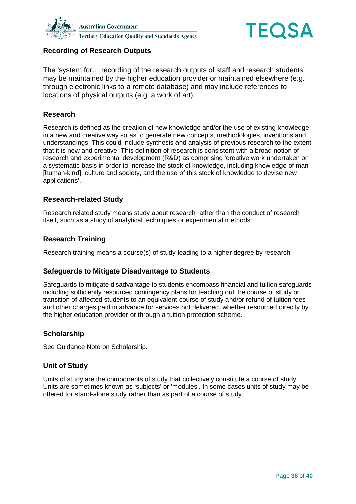



### <span id="page-37-4"></span>**Recording of Research Outputs**

The 'system for… recording of the research outputs of staff and research students' may be maintained by the higher education provider or maintained elsewhere (e.g. through electronic links to a remote database) and may include references to locations of physical outputs (e.g. a work of art).

### <span id="page-37-1"></span>**Research**

Research is defined as the creation of new knowledge and/or the use of existing knowledge in a new and creative way so as to generate new concepts, methodologies, inventions and understandings. This could include synthesis and analysis of previous research to the extent that it is new and creative. This definition of research is consistent with a broad notion of research and experimental development (R&D) as comprising 'creative work undertaken on a systematic basis in order to increase the stock of knowledge, including knowledge of man [human-kind], culture and society, and the use of this stock of knowledge to devise new applications'.

### **Research-related Study**

Research related study means study about research rather than the conduct of research itself, such as a study of analytical techniques or experimental methods.

#### <span id="page-37-2"></span>**Research Training**

Research training means a course(s) of study leading to a higher degree by research.

#### **Safeguards to Mitigate Disadvantage to Students**

Safeguards to mitigate disadvantage to students encompass financial and tuition safeguards including sufficiently resourced contingency plans for teaching out the course of study or transition of affected students to an equivalent course of study and/or refund of tuition fees and other charges paid in advance for services not delivered, whether resourced directly by the higher education provider or through a tuition protection scheme.

#### <span id="page-37-3"></span>**Scholarship**

See Guidance Note on Scholarship.

#### <span id="page-37-0"></span>**Unit of Study**

Units of study are the components of study that collectively constitute a course of study. Units are sometimes known as 'subjects' or 'modules'. In some cases units of study may be offered for stand-alone study rather than as part of a course of study.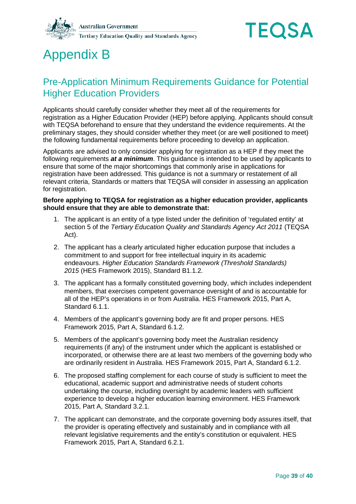



# <span id="page-38-0"></span>Appendix B

## Pre-Application Minimum Requirements Guidance for Potential Higher Education Providers

Applicants should carefully consider whether they meet all of the requirements for registration as a Higher Education Provider (HEP) before applying. Applicants should consult with TEQSA beforehand to ensure that they understand the evidence requirements. At the preliminary stages, they should consider whether they meet (or are well positioned to meet) the following fundamental requirements before proceeding to develop an application.

Applicants are advised to only consider applying for registration as a HEP if they meet the following requirements *at a minimum*. This guidance is intended to be used by applicants to ensure that some of the major shortcomings that commonly arise in applications for registration have been addressed. This guidance is not a summary or restatement of all relevant criteria, Standards or matters that TEQSA will consider in assessing an application for registration.

#### **Before applying to TEQSA for registration as a higher education provider, applicants should ensure that they are able to demonstrate that:**

- 1. The applicant is an entity of a type listed under the definition of 'regulated entity' at section 5 of the *Tertiary Education Quality and Standards Agency Act 2011* (TEQSA Act).
- 2. The applicant has a clearly articulated higher education purpose that includes a commitment to and support for free intellectual inquiry in its academic endeavours. *Higher Education Standards Framework (Threshold Standards) 2015* (HES Framework 2015), Standard B1.1.2.
- 3. The applicant has a formally constituted governing body, which includes independent members, that exercises competent governance oversight of and is accountable for all of the HEP's operations in or from Australia. HES Framework 2015, Part A, Standard 6.1.1.
- 4. Members of the applicant's governing body are fit and proper persons. HES Framework 2015, Part A, Standard 6.1.2.
- 5. Members of the applicant's governing body meet the Australian residency requirements (if any) of the instrument under which the applicant is established or incorporated, or otherwise there are at least two members of the governing body who are ordinarily resident in Australia. HES Framework 2015, Part A, Standard 6.1.2.
- 6. The proposed staffing complement for each course of study is sufficient to meet the educational, academic support and administrative needs of student cohorts undertaking the course, including oversight by academic leaders with sufficient experience to develop a higher education learning environment. HES Framework 2015, Part A, Standard 3.2.1.
- 7. The applicant can demonstrate, and the corporate governing body assures itself, that the provider is operating effectively and sustainably and in compliance with all relevant legislative requirements and the entity's constitution or equivalent. HES Framework 2015, Part A, Standard 6.2.1.